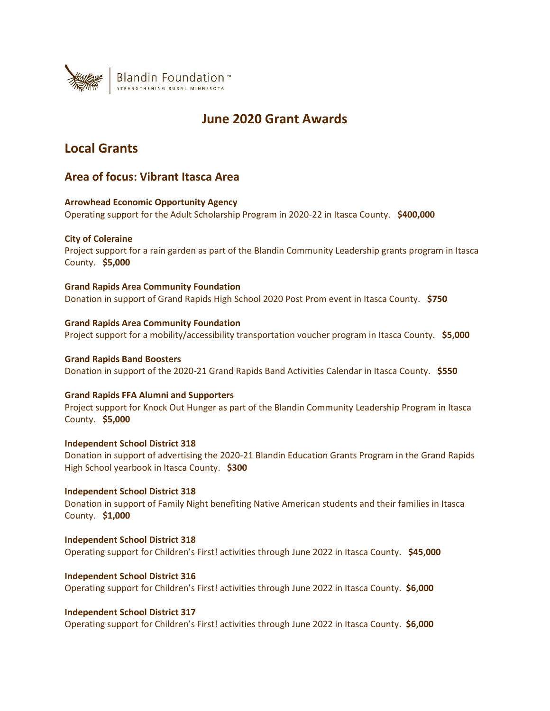

## **June 2020 Grant Awards**

## **Local Grants**

## **Area of focus: Vibrant Itasca Area**

**Arrowhead Economic Opportunity Agency** Operating support for the Adult Scholarship Program in 2020-22 in Itasca County. **\$400,000**

## **City of Coleraine**

Project support for a rain garden as part of the Blandin Community Leadership grants program in Itasca County. **\$5,000**

## **Grand Rapids Area Community Foundation**

Donation in support of Grand Rapids High School 2020 Post Prom event in Itasca County. **\$750**

## **Grand Rapids Area Community Foundation**

Project support for a mobility/accessibility transportation voucher program in Itasca County. **\$5,000**

## **Grand Rapids Band Boosters**

Donation in support of the 2020-21 Grand Rapids Band Activities Calendar in Itasca County. **\$550**

## **Grand Rapids FFA Alumni and Supporters**

Project support for Knock Out Hunger as part of the Blandin Community Leadership Program in Itasca County. **\$5,000**

## **Independent School District 318**

Donation in support of advertising the 2020-21 Blandin Education Grants Program in the Grand Rapids High School yearbook in Itasca County. **\$300**

## **Independent School District 318**

Donation in support of Family Night benefiting Native American students and their families in Itasca County. **\$1,000**

**Independent School District 318** Operating support for Children's First! activities through June 2022 in Itasca County. **\$45,000**

## **Independent School District 316** Operating support for Children's First! activities through June 2022 in Itasca County. **\$6,000**

**Independent School District 317** Operating support for Children's First! activities through June 2022 in Itasca County. **\$6,000**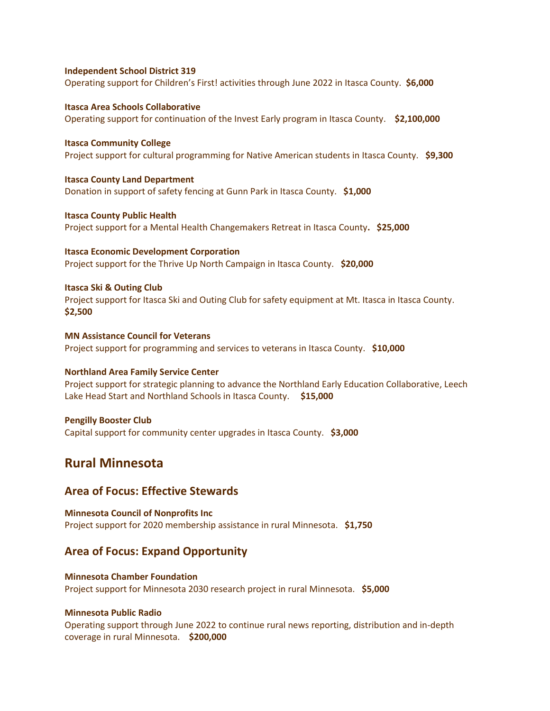#### **Independent School District 319**

Operating support for Children's First! activities through June 2022 in Itasca County. **\$6,000**

**Itasca Area Schools Collaborative** Operating support for continuation of the Invest Early program in Itasca County. **\$2,100,000**

**Itasca Community College** Project support for cultural programming for Native American students in Itasca County. **\$9,300**

**Itasca County Land Department** Donation in support of safety fencing at Gunn Park in Itasca County. **\$1,000**

**Itasca County Public Health** Project support for a Mental Health Changemakers Retreat in Itasca County**. \$25,000**

**Itasca Economic Development Corporation** Project support for the Thrive Up North Campaign in Itasca County. **\$20,000**

#### **Itasca Ski & Outing Club**

Project support for Itasca Ski and Outing Club for safety equipment at Mt. Itasca in Itasca County. **\$2,500**

**MN Assistance Council for Veterans** Project support for programming and services to veterans in Itasca County. **\$10,000**

#### **Northland Area Family Service Center**

Project support for strategic planning to advance the Northland Early Education Collaborative, Leech Lake Head Start and Northland Schools in Itasca County. **\$15,000**

## **Pengilly Booster Club**

Capital support for community center upgrades in Itasca County. **\$3,000**

## **Rural Minnesota**

## **Area of Focus: Effective Stewards**

**Minnesota Council of Nonprofits Inc** Project support for 2020 membership assistance in rural Minnesota. **\$1,750**

## **Area of Focus: Expand Opportunity**

**Minnesota Chamber Foundation** Project support for Minnesota 2030 research project in rural Minnesota. **\$5,000**

## **Minnesota Public Radio**

Operating support through June 2022 to continue rural news reporting, distribution and in-depth coverage in rural Minnesota. **\$200,000**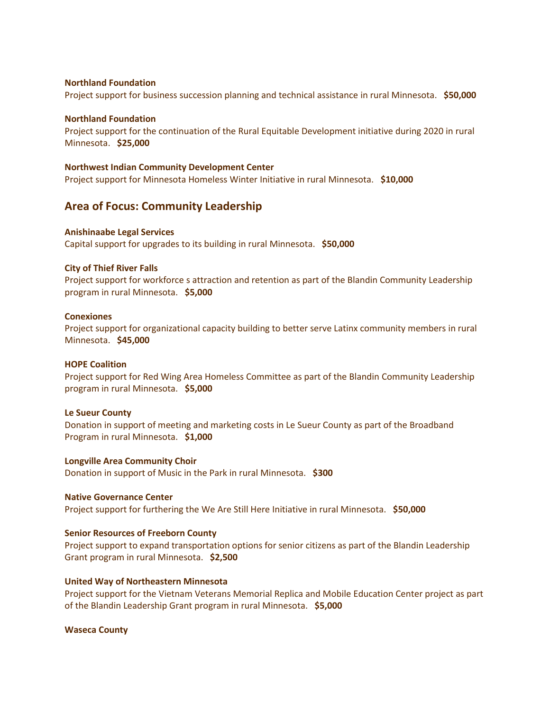#### **Northland Foundation**

Project support for business succession planning and technical assistance in rural Minnesota. **\$50,000**

#### **Northland Foundation**

Project support for the continuation of the Rural Equitable Development initiative during 2020 in rural Minnesota. **\$25,000**

#### **Northwest Indian Community Development Center**

Project support for Minnesota Homeless Winter Initiative in rural Minnesota. **\$10,000**

## **Area of Focus: Community Leadership**

## **Anishinaabe Legal Services**

Capital support for upgrades to its building in rural Minnesota. **\$50,000**

#### **City of Thief River Falls**

Project support for workforce s attraction and retention as part of the Blandin Community Leadership program in rural Minnesota. **\$5,000**

#### **Conexiones**

Project support for organizational capacity building to better serve Latinx community members in rural Minnesota. **\$45,000**

#### **HOPE Coalition**

Project support for Red Wing Area Homeless Committee as part of the Blandin Community Leadership program in rural Minnesota. **\$5,000**

#### **Le Sueur County**

Donation in support of meeting and marketing costs in Le Sueur County as part of the Broadband Program in rural Minnesota. **\$1,000**

**Longville Area Community Choir** Donation in support of Music in the Park in rural Minnesota. **\$300**

#### **Native Governance Center**

Project support for furthering the We Are Still Here Initiative in rural Minnesota. **\$50,000**

## **Senior Resources of Freeborn County**

Project support to expand transportation options for senior citizens as part of the Blandin Leadership Grant program in rural Minnesota. **\$2,500**

#### **United Way of Northeastern Minnesota**

Project support for the Vietnam Veterans Memorial Replica and Mobile Education Center project as part of the Blandin Leadership Grant program in rural Minnesota. **\$5,000**

#### **Waseca County**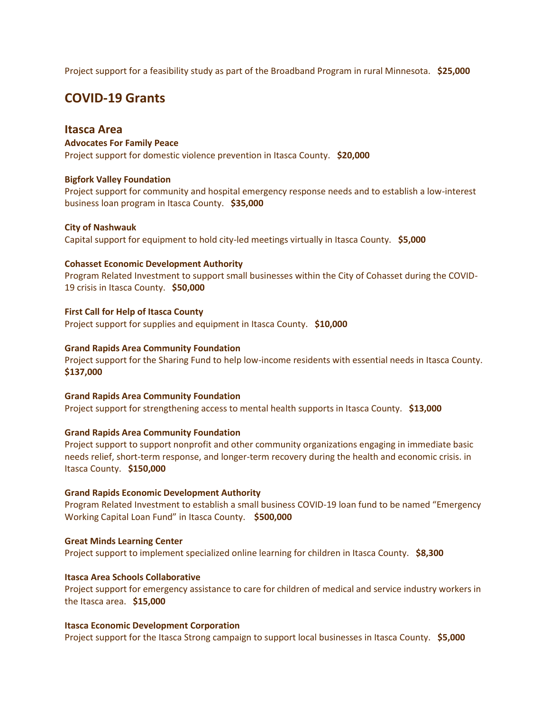Project support for a feasibility study as part of the Broadband Program in rural Minnesota. **\$25,000**

## **COVID-19 Grants**

## **Itasca Area**

**Advocates For Family Peace** Project support for domestic violence prevention in Itasca County. **\$20,000**

## **Bigfork Valley Foundation**

Project support for community and hospital emergency response needs and to establish a low-interest business loan program in Itasca County. **\$35,000**

## **City of Nashwauk**

Capital support for equipment to hold city-led meetings virtually in Itasca County. **\$5,000**

## **Cohasset Economic Development Authority**

Program Related Investment to support small businesses within the City of Cohasset during the COVID-19 crisis in Itasca County. **\$50,000**

**First Call for Help of Itasca County** Project support for supplies and equipment in Itasca County. **\$10,000**

## **Grand Rapids Area Community Foundation**

Project support for the Sharing Fund to help low-income residents with essential needs in Itasca County. **\$137,000**

## **Grand Rapids Area Community Foundation**

Project support for strengthening access to mental health supports in Itasca County. **\$13,000**

## **Grand Rapids Area Community Foundation**

Project support to support nonprofit and other community organizations engaging in immediate basic needs relief, short-term response, and longer-term recovery during the health and economic crisis. in Itasca County. **\$150,000**

## **Grand Rapids Economic Development Authority**

Program Related Investment to establish a small business COVID-19 loan fund to be named "Emergency Working Capital Loan Fund" in Itasca County. **\$500,000**

## **Great Minds Learning Center**

Project support to implement specialized online learning for children in Itasca County. **\$8,300**

## **Itasca Area Schools Collaborative**

Project support for emergency assistance to care for children of medical and service industry workers in the Itasca area. **\$15,000**

## **Itasca Economic Development Corporation**

Project support for the Itasca Strong campaign to support local businesses in Itasca County. **\$5,000**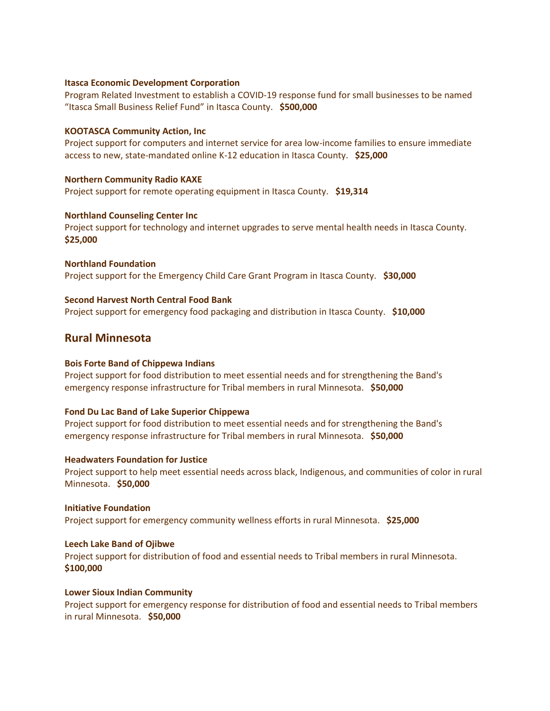## **Itasca Economic Development Corporation**

Program Related Investment to establish a COVID-19 response fund for small businesses to be named "Itasca Small Business Relief Fund" in Itasca County. **\$500,000**

## **KOOTASCA Community Action, Inc**

Project support for computers and internet service for area low-income families to ensure immediate access to new, state-mandated online K-12 education in Itasca County. **\$25,000**

## **Northern Community Radio KAXE**

Project support for remote operating equipment in Itasca County. **\$19,314**

## **Northland Counseling Center Inc**

Project support for technology and internet upgrades to serve mental health needs in Itasca County. **\$25,000**

**Northland Foundation** Project support for the Emergency Child Care Grant Program in Itasca County. **\$30,000**

## **Second Harvest North Central Food Bank**

Project support for emergency food packaging and distribution in Itasca County. **\$10,000**

## **Rural Minnesota**

## **Bois Forte Band of Chippewa Indians**

Project support for food distribution to meet essential needs and for strengthening the Band's emergency response infrastructure for Tribal members in rural Minnesota. **\$50,000**

## **Fond Du Lac Band of Lake Superior Chippewa**

Project support for food distribution to meet essential needs and for strengthening the Band's emergency response infrastructure for Tribal members in rural Minnesota. **\$50,000**

## **Headwaters Foundation for Justice**

Project support to help meet essential needs across black, Indigenous, and communities of color in rural Minnesota. **\$50,000**

## **Initiative Foundation**

Project support for emergency community wellness efforts in rural Minnesota. **\$25,000**

## **Leech Lake Band of Ojibwe**

Project support for distribution of food and essential needs to Tribal members in rural Minnesota. **\$100,000**

## **Lower Sioux Indian Community**

Project support for emergency response for distribution of food and essential needs to Tribal members in rural Minnesota. **\$50,000**